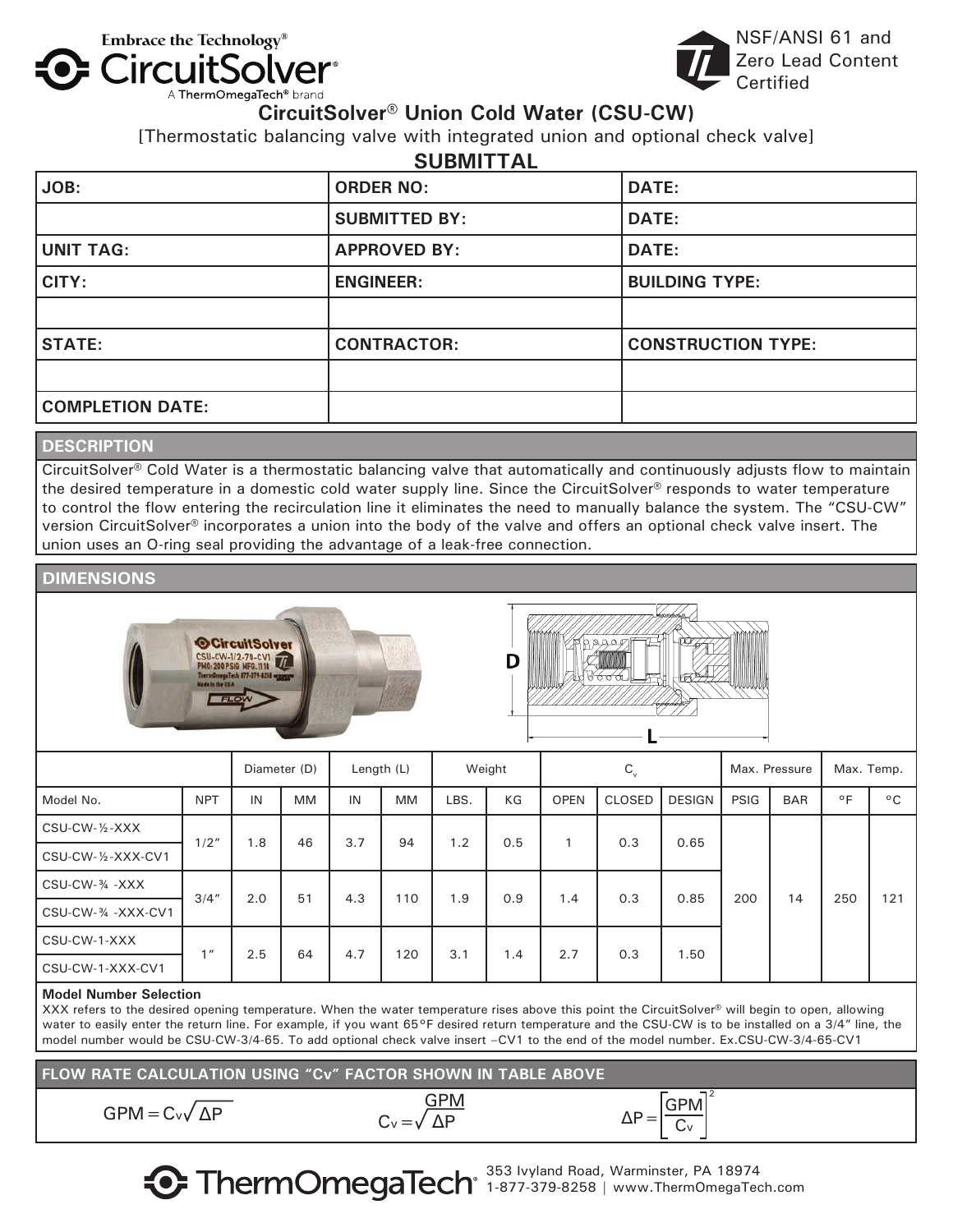

NSF/ANSI 61 and Zero Lead Content Certified

## **CircuitSolver® Union Cold Water (CSU-CW)**

[Thermostatic balancing valve with integrated union and optional check valve]

|                         | <b>SUBMITTAL</b>     |                           |
|-------------------------|----------------------|---------------------------|
| JOB:                    | <b>ORDER NO:</b>     | <b>DATE:</b>              |
|                         | <b>SUBMITTED BY:</b> | <b>DATE:</b>              |
| <b>UNIT TAG:</b>        | <b>APPROVED BY:</b>  | <b>DATE:</b>              |
| CITY:                   | <b>ENGINEER:</b>     | <b>BUILDING TYPE:</b>     |
|                         |                      |                           |
| <b>STATE:</b>           | <b>CONTRACTOR:</b>   | <b>CONSTRUCTION TYPE:</b> |
|                         |                      |                           |
| <b>COMPLETION DATE:</b> |                      |                           |
|                         |                      |                           |

## **DESCRIPTION**

CircuitSolver® Cold Water is a thermostatic balancing valve that automatically and continuously adjusts flow to maintain the desired temperature in a domestic cold water supply line. Since the CircuitSolver® responds to water temperature to control the flow entering the recirculation line it eliminates the need to manually balance the system. The "CSU-CW" version CircuitSolver® incorporates a union into the body of the valve and offers an optional check valve insert. The union uses an O-ring seal providing the advantage of a leak-free connection.

### **DIMENSIONS**





|                                   |                 |     | Diameter (D) |     | Length (L) |      | Weight |             | $C_{v}$       |               |             | Max. Pressure | Max. Temp.   |              |
|-----------------------------------|-----------------|-----|--------------|-----|------------|------|--------|-------------|---------------|---------------|-------------|---------------|--------------|--------------|
| Model No.                         | <b>NPT</b>      | IN  | <b>MM</b>    | IN  | MM         | LBS. | KG     | <b>OPEN</b> | <b>CLOSED</b> | <b>DESIGN</b> | <b>PSIG</b> | <b>BAR</b>    | $^{\circ}$ F | $^{\circ}$ C |
| CSU-CW-1/2-XXX                    | 1/2"            | 1.8 | 46           | 3.7 | 94         |      | 0.5    |             | 0.3           | 0.65          |             |               |              |              |
| $CSU$ -CW- $\frac{1}{2}$ -XXX-CV1 |                 |     |              |     |            |      | 1.2    |             |               |               |             |               |              |              |
| CSU-CW-34 -XXX                    |                 |     |              |     |            |      |        |             |               | 0.85          |             |               |              |              |
| CSU-CW-34 - XXX-CV1               | 3/4''           | 2.0 | 51           | 4.3 | 110        | 1.9  | 0.9    | 1.4         | 0.3           |               | 200         | 14            | 250          | 121          |
| CSU-CW-1-XXX                      | 1 <sub>II</sub> |     |              | 4.7 |            |      |        | 2.7         |               |               |             |               |              |              |
| CSU-CW-1-XXX-CV1                  |                 | 2.5 | 64           |     | 120        | 3.1  | 1.4    |             | 0.3           | 1.50          |             |               |              |              |

#### **Model Number Selection**

XXX refers to the desired opening temperature. When the water temperature rises above this point the CircuitSolver® will begin to open, allowing water to easily enter the return line. For example, if you want 65°F desired return temperature and the CSU-CW is to be installed on a 3/4" line, the model number would be CSU-CW-3/4-65. To add optional check valve insert –CV1 to the end of the model number. Ex.CSU-CW-3/4-65-CV1

**FLOW RATE CALCULATION USING "Cv" FACTOR SHOWN IN TABLE ABOVE**

| $GPM = C_v \sqrt{\Delta P}$ | <b>GPM</b>              | $\Delta P = \frac{GPM}{Cv}$ |  |
|-----------------------------|-------------------------|-----------------------------|--|
|                             | $C_v = \sqrt{\Delta P}$ |                             |  |



2

353 Ivyland Road, Warminster, PA 18974 1-877-379-8258 | www.ThermOmegaTech.com